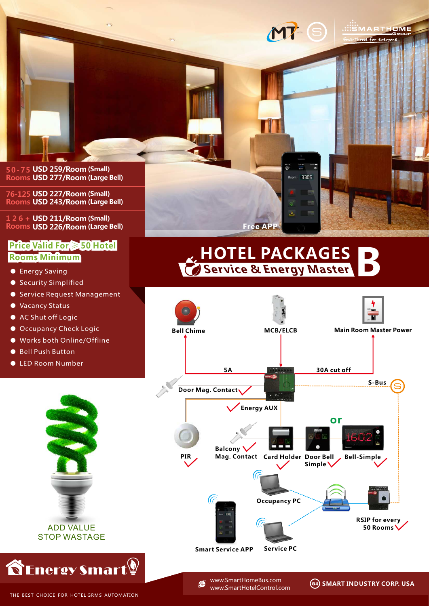

**76-125 USD 227/Room (Small) Rooms USD 243/Room (Large Bell)**

**1 2 6 + USD 211/Room (Small) Rooms USD 226/Room (Large Bell)**

## **Price Valid For** ≥ **50 Hotel Rooms Minimum**

- Energy Saving
- Security Simplified
- Service Request Management
- Vacancy Status
- AC Shut off Logic
- Occupancy Check Logic
- Works both Online/Offline
- Bell Push Button
- LED Room Number



## **Service & Energy Master HOTEL PACKAGES B**

Room 3305

 $\Delta$ 

**Free APP**



www.SmartHomeBus.come www.SmartHotelControl.com .:::SMARTHOME · For every